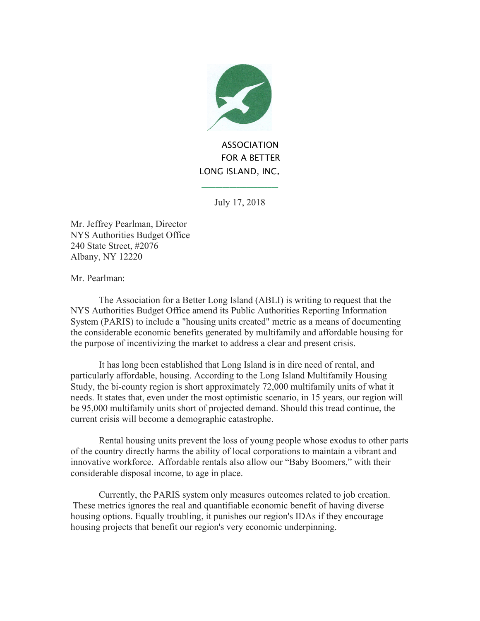

**ASSOCIATION**  FOR A BETTER LONG ISLAND, INC.

July 17, 2018

**\_\_\_\_\_\_\_\_\_\_\_\_\_\_\_\_\_\_\_\_\_\_**

Mr. Jeffrey Pearlman, Director NYS Authorities Budget Office 240 State Street, #2076 Albany, NY 12220

Mr. Pearlman:

The Association for a Better Long Island (ABLI) is writing to request that the NYS Authorities Budget Office amend its Public Authorities Reporting Information System (PARIS) to include a "housing units created" metric as a means of documenting the considerable economic benefits generated by multifamily and affordable housing for the purpose of incentivizing the market to address a clear and present crisis.

It has long been established that Long Island is in dire need of rental, and particularly affordable, housing. According to the Long Island Multifamily Housing Study, the bi-county region is short approximately 72,000 multifamily units of what it needs. It states that, even under the most optimistic scenario, in 15 years, our region will be 95,000 multifamily units short of projected demand. Should this tread continue, the current crisis will become a demographic catastrophe.

Rental housing units prevent the loss of young people whose exodus to other parts of the country directly harms the ability of local corporations to maintain a vibrant and innovative workforce. Affordable rentals also allow our "Baby Boomers," with their considerable disposal income, to age in place.

Currently, the PARIS system only measures outcomes related to job creation. These metrics ignores the real and quantifiable economic benefit of having diverse housing options. Equally troubling, it punishes our region's IDAs if they encourage housing projects that benefit our region's very economic underpinning.